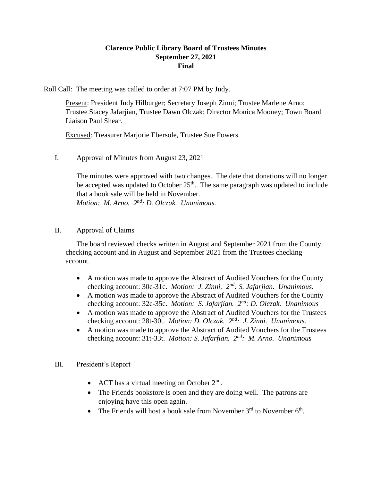# **Clarence Public Library Board of Trustees Minutes September 27, 2021 Final**

Roll Call: The meeting was called to order at 7:07 PM by Judy.

Present: President Judy Hilburger; Secretary Joseph Zinni; Trustee Marlene Arno; Trustee Stacey Jafarjian, Trustee Dawn Olczak; Director Monica Mooney; Town Board Liaison Paul Shear.

Excused: Treasurer Marjorie Ebersole, Trustee Sue Powers

I. Approval of Minutes from August 23, 2021

The minutes were approved with two changes. The date that donations will no longer be accepted was updated to October  $25<sup>th</sup>$ . The same paragraph was updated to include that a book sale will be held in November. *Motion: M. Arno. 2 nd: D. Olczak. Unanimous.*

## II. Approval of Claims

The board reviewed checks written in August and September 2021 from the County checking account and in August and September 2021 from the Trustees checking account.

- A motion was made to approve the Abstract of Audited Vouchers for the County checking account: 30c-31c. *Motion: J. Zinni. 2nd: S. Jafarjian. Unanimous.*
- A motion was made to approve the Abstract of Audited Vouchers for the County checking account: 32c-35c. *Motion: S. Jafarjian. 2nd: D. Olczak. Unanimous*
- A motion was made to approve the Abstract of Audited Vouchers for the Trustees checking account: 28t-30t. *Motion: D. Olczak. 2<sup>nd</sup>: J. Zinni. Unanimous.*
- A motion was made to approve the Abstract of Audited Vouchers for the Trustees checking account: 31t-33t. *Motion: S. Jafarfian. 2<sup>nd</sup>: M. Arno. Unanimous*

### III. President's Report

- ACT has a virtual meeting on October  $2<sup>nd</sup>$ .
- The Friends bookstore is open and they are doing well. The patrons are enjoying have this open again.
- The Friends will host a book sale from November  $3<sup>rd</sup>$  to November  $6<sup>th</sup>$ .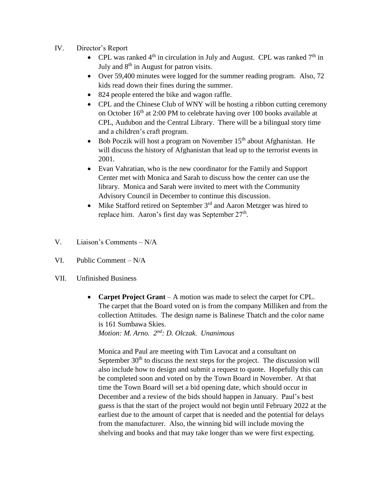- IV. Director's Report
	- CPL was ranked  $4<sup>th</sup>$  in circulation in July and August. CPL was ranked  $7<sup>th</sup>$  in July and  $8<sup>th</sup>$  in August for patron visits.
	- Over 59,400 minutes were logged for the summer reading program. Also, 72 kids read down their fines during the summer.
	- 824 people entered the bike and wagon raffle.
	- CPL and the Chinese Club of WNY will be hosting a ribbon cutting ceremony on October  $16<sup>th</sup>$  at 2:00 PM to celebrate having over 100 books available at CPL, Audubon and the Central Library. There will be a bilingual story time and a children's craft program.
	- Bob Poczik will host a program on November 15<sup>th</sup> about Afghanistan. He will discuss the history of Afghanistan that lead up to the terrorist events in 2001.
	- Evan Vahratian, who is the new coordinator for the Family and Support Center met with Monica and Sarah to discuss how the center can use the library. Monica and Sarah were invited to meet with the Community Advisory Council in December to continue this discussion.
	- $\bullet$  Mike Stafford retired on September 3<sup>rd</sup> and Aaron Metzger was hired to replace him. Aaron's first day was September 27<sup>th</sup>.
- V. Liaison's Comments N/A
- VI. Public Comment N/A
- VII. Unfinished Business
	- **Carpet Project Grant** A motion was made to select the carpet for CPL. The carpet that the Board voted on is from the company Milliken and from the collection Attitudes. The design name is Balinese Thatch and the color name is 161 Sumbawa Skies.

*Motion: M. Arno. 2nd: D. Olczak. Unanimous*

Monica and Paul are meeting with Tim Lavocat and a consultant on September  $30<sup>th</sup>$  to discuss the next steps for the project. The discussion will also include how to design and submit a request to quote. Hopefully this can be completed soon and voted on by the Town Board in November. At that time the Town Board will set a bid opening date, which should occur in December and a review of the bids should happen in January. Paul's best guess is that the start of the project would not begin until February 2022 at the earliest due to the amount of carpet that is needed and the potential for delays from the manufacturer. Also, the winning bid will include moving the shelving and books and that may take longer than we were first expecting.